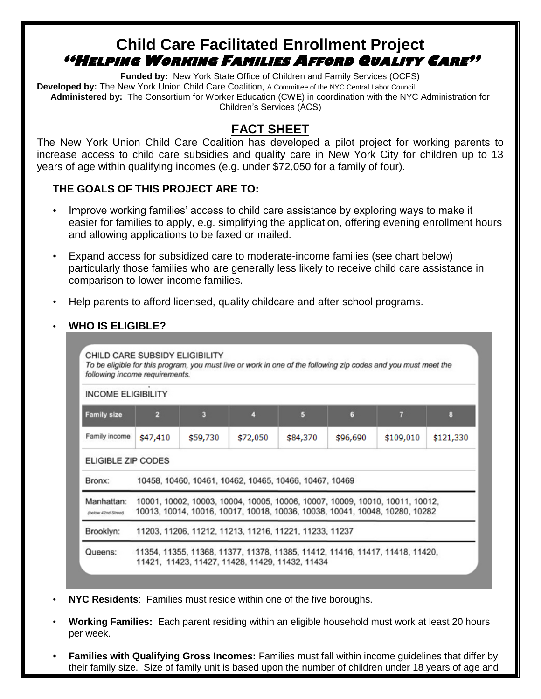# **Child Care Facilitated Enrollment Project "HELPING WORKING FAMILIES AFFORD QUALITY CARE"**

**Funded by:** New York State Office of Children and Family Services (OCFS) **Developed by:** The New York Union Child Care Coalition, A Committee of the NYC Central Labor Council **Administered by:** The Consortium for Worker Education (CWE) in coordination with the NYC Administration for Children's Services (ACS)

# **FACT SHEET**

The New York Union Child Care Coalition has developed a pilot project for working parents to increase access to child care subsidies and quality care in New York City for children up to 13 years of age within qualifying incomes (e.g. under \$72,050 for a family of four).

#### **THE GOALS OF THIS PROJECT ARE TO:**

- Improve working families' access to child care assistance by exploring ways to make it easier for families to apply, e.g. simplifying the application, offering evening enrollment hours and allowing applications to be faxed or mailed.
- Expand access for subsidized care to moderate-income families (see chart below) particularly those families who are generally less likely to receive child care assistance in comparison to lower-income families.
- Help parents to afford licensed, quality childcare and after school programs.

#### • **WHO IS ELIGIBLE?**

| 2 | з                              | л        | 5        | 6        | 7                                                                                                                | 8                                                                                                                                                                                                                                           |
|---|--------------------------------|----------|----------|----------|------------------------------------------------------------------------------------------------------------------|---------------------------------------------------------------------------------------------------------------------------------------------------------------------------------------------------------------------------------------------|
|   | \$59,730                       | \$72,050 | \$84,370 | \$96,690 | \$109,010                                                                                                        | \$121,330                                                                                                                                                                                                                                   |
|   |                                |          |          |          |                                                                                                                  |                                                                                                                                                                                                                                             |
|   |                                |          |          |          |                                                                                                                  |                                                                                                                                                                                                                                             |
|   |                                |          |          |          |                                                                                                                  |                                                                                                                                                                                                                                             |
|   |                                |          |          |          |                                                                                                                  |                                                                                                                                                                                                                                             |
|   | \$47,410<br>ELIGIBLE ZIP CODES |          |          |          | 10458, 10460, 10461, 10462, 10465, 10466, 10467, 10469<br>11203, 11206, 11212, 11213, 11216, 11221, 11233, 11237 | 10001, 10002, 10003, 10004, 10005, 10006, 10007, 10009, 10010, 10011, 10012,<br>10013, 10014, 10016, 10017, 10018, 10036, 10038, 10041, 10048, 10280, 10282<br>11354, 11355, 11368, 11377, 11378, 11385, 11412, 11416, 11417, 11418, 11420, |

- **NYC Residents**: Families must reside within one of the five boroughs.
- **Working Families:** Each parent residing within an eligible household must work at least 20 hours per week.
- **Families with Qualifying Gross Incomes:** Families must fall within income guidelines that differ by their family size. Size of family unit is based upon the number of children under 18 years of age and